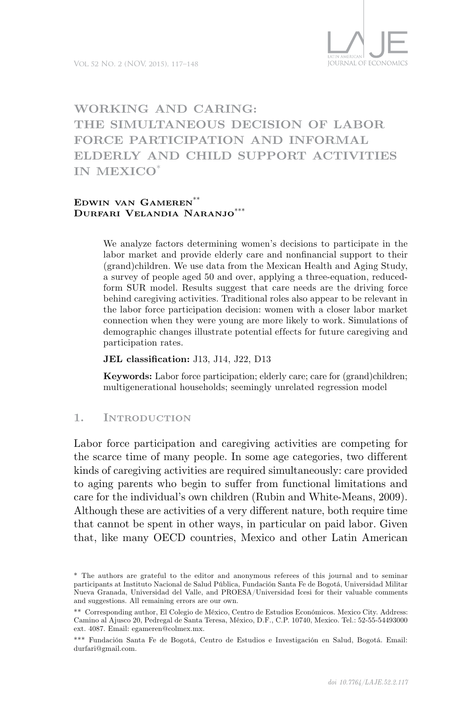# **Working and Caring: The Simultaneous Decision of Labor Force Participation and Informal Elderly and Child Support Activities in Mexico**\*

#### **Edwin van Gameren**\*\* **Durfari Velandia Naranjo**\*\*\*

We analyze factors determining women's decisions to participate in the labor market and provide elderly care and nonfinancial support to their (grand)children. We use data from the Mexican Health and Aging Study, a survey of people aged 50 and over, applying a three-equation, reducedform SUR model. Results suggest that care needs are the driving force behind caregiving activities. Traditional roles also appear to be relevant in the labor force participation decision: women with a closer labor market connection when they were young are more likely to work. Simulations of demographic changes illustrate potential effects for future caregiving and participation rates.

**JEL classification:** J13, J14, J22, D13

**Keywords:** Labor force participation; elderly care; care for (grand)children; multigenerational households; seemingly unrelated regression model

# **1. Introduction**

Labor force participation and caregiving activities are competing for the scarce time of many people. In some age categories, two different kinds of caregiving activities are required simultaneously: care provided to aging parents who begin to suffer from functional limitations and care for the individual's own children (Rubin and White-Means, 2009). Although these are activities of a very different nature, both require time that cannot be spent in other ways, in particular on paid labor. Given that, like many OECD countries, Mexico and other Latin American

<sup>\*</sup> The authors are grateful to the editor and anonymous referees of this journal and to seminar participants at Instituto Nacional de Salud Pública, Fundación Santa Fe de Bogotá, Universidad Militar Nueva Granada, Universidad del Valle, and PROESA/Universidad Icesi for their valuable comments and suggestions. All remaining errors are our own.

<sup>\*\*</sup> Corresponding author, El Colegio de México, Centro de Estudios Económicos. Mexico City. Address: Camino al Ajusco 20, Pedregal de Santa Teresa, México, D.F., C.P. 10740, Mexico. Tel.: 52-55-54493000 ext. 4087. Email: egameren@colmex.mx.

<sup>\*\*\*</sup> Fundación Santa Fe de Bogotá, Centro de Estudios e Investigación en Salud, Bogotá. Email: durfari@gmail.com.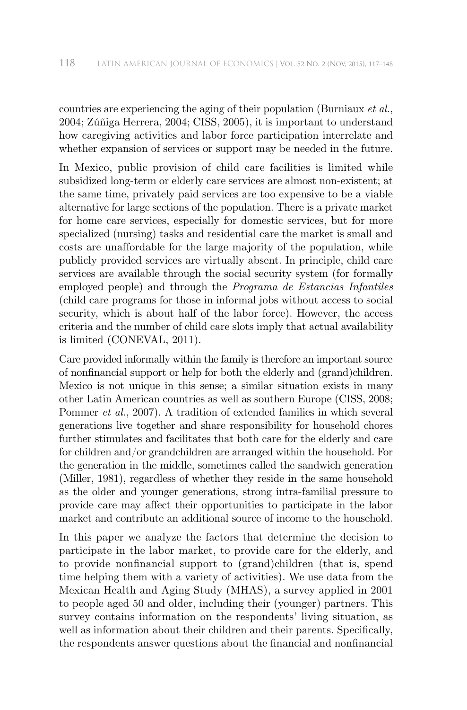countries are experiencing the aging of their population (Burniaux *et al.*, 2004; Zúñiga Herrera, 2004; CISS, 2005), it is important to understand how caregiving activities and labor force participation interrelate and whether expansion of services or support may be needed in the future.

In Mexico, public provision of child care facilities is limited while subsidized long-term or elderly care services are almost non-existent; at the same time, privately paid services are too expensive to be a viable alternative for large sections of the population. There is a private market for home care services, especially for domestic services, but for more specialized (nursing) tasks and residential care the market is small and costs are unaf fordable for the large majority of the population, while publicly provided services are virtually absent. In principle, child care services are available through the social security system (for formally employed people) and through the *Programa de Estancias Infantiles* (child care programs for those in informal jobs without access to social security, which is about half of the labor force). However, the access criteria and the number of child care slots imply that actual availability is limited (CONEVAL, 2011).

Care provided informally within the family is therefore an important source of nonfinancial support or help for both the elderly and (grand)children. Mexico is not unique in this sense; a similar situation exists in many other Latin American countries as well as southern Europe (CISS, 2008; Pommer *et al.*, 2007). A tradition of extended families in which several generations live together and share responsibility for household chores further stimulates and facilitates that both care for the elderly and care for children and/or grandchildren are arranged within the household. For the generation in the middle, sometimes called the sandwich generation (Miller, 1981), regardless of whether they reside in the same household as the older and younger generations, strong intra-familial pressure to provide care may affect their opportunities to participate in the labor market and contribute an additional source of income to the household.

In this paper we analyze the factors that determine the decision to participate in the labor market, to provide care for the elderly, and to provide nonfinancial support to (grand)children (that is, spend time helping them with a variety of activities). We use data from the Mexican Health and Aging Study (MHAS), a survey applied in 2001 to people aged 50 and older, including their (younger) partners. This survey contains information on the respondents' living situation, as well as information about their children and their parents. Specifically, the respondents answer questions about the financial and nonfinancial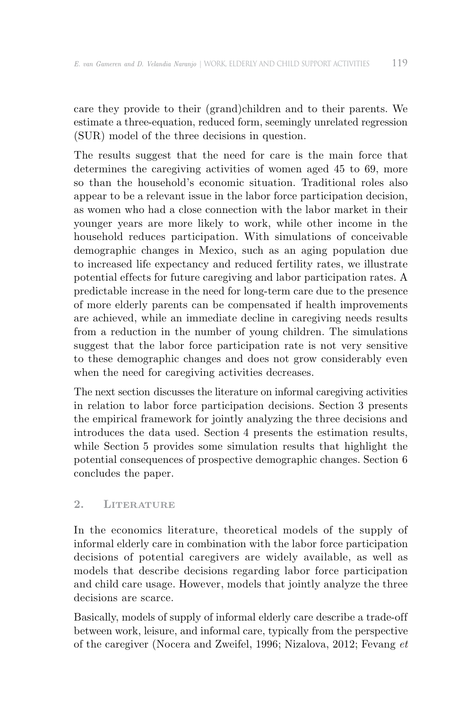care they provide to their (grand)children and to their parents. We estimate a three-equation, reduced form, seemingly unrelated regression (SUR) model of the three decisions in question.

The results suggest that the need for care is the main force that determines the caregiving activities of women aged 45 to 69, more so than the household's economic situation. Traditional roles also appear to be a relevant issue in the labor force participation decision, as women who had a close connection with the labor market in their younger years are more likely to work, while other income in the household reduces participation. With simulations of conceivable demographic changes in Mexico, such as an aging population due to increased life expectancy and reduced fertility rates, we illustrate potential ef fects for future caregiving and labor participation rates. A predictable increase in the need for long-term care due to the presence of more elderly parents can be compensated if health improvements are achieved, while an immediate decline in caregiving needs results from a reduction in the number of young children. The simulations suggest that the labor force participation rate is not very sensitive to these demographic changes and does not grow considerably even when the need for caregiving activities decreases.

The next section discusses the literature on informal caregiving activities in relation to labor force participation decisions. Section 3 presents the empirical framework for jointly analyzing the three decisions and introduces the data used. Section 4 presents the estimation results, while Section 5 provides some simulation results that highlight the potential consequences of prospective demographic changes. Section 6 concludes the paper.

# **2. Literature**

In the economics literature, theoretical models of the supply of informal elderly care in combination with the labor force participation decisions of potential caregivers are widely available, as well as models that describe decisions regarding labor force participation and child care usage. However, models that jointly analyze the three decisions are scarce.

Basically, models of supply of informal elderly care describe a trade-off between work, leisure, and informal care, typically from the perspective of the caregiver (Nocera and Zweifel, 1996; Nizalova, 2012; Fevang *et*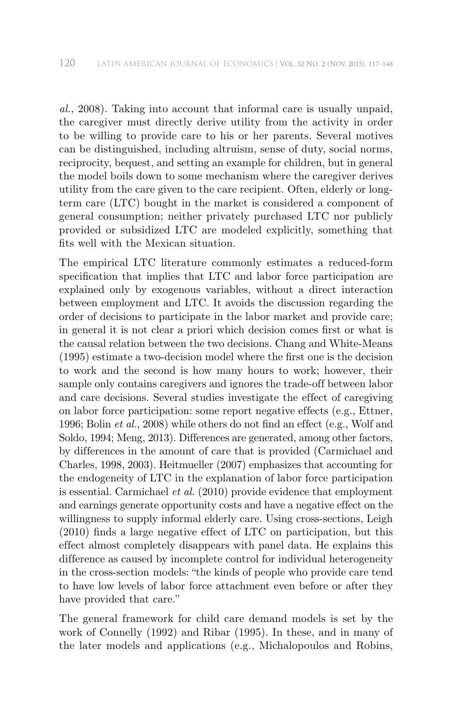*al.*, 2008). Taking into account that informal care is usually unpaid, the caregiver must directly derive utility from the activity in order to be willing to provide care to his or her parents. Several motives can be distinguished, including altruism, sense of duty, social norms, reciprocity, bequest, and setting an example for children, but in general the model boils down to some mechanism where the caregiver derives utility from the care given to the care recipient. Often, elderly or longterm care (LTC) bought in the market is considered a component of general consumption; neither privately purchased LTC nor publicly provided or subsidized LTC are modeled explicitly, something that fits well with the Mexican situation.

The empirical LTC literature commonly estimates a reduced-form specification that implies that LTC and labor force participation are explained only by exogenous variables, without a direct interaction between employment and LTC. It avoids the discussion regarding the order of decisions to participate in the labor market and provide care; in general it is not clear a priori which decision comes first or what is the causal relation between the two decisions. Chang and White-Means (1995) estimate a two-decision model where the first one is the decision to work and the second is how many hours to work; however, their sample only contains caregivers and ignores the trade-off between labor and care decisions. Several studies investigate the effect of caregiving on labor force participation: some report negative effects (e.g., Ettner, 1996; Bolin *et al.*, 2008) while others do not find an effect (e.g., Wolf and Soldo, 1994; Meng, 2013). Differences are generated, among other factors, by differences in the amount of care that is provided (Carmichael and Charles, 1998, 2003). Heitmueller (2007) emphasizes that accounting for the endogeneity of LTC in the explanation of labor force participation is essential. Carmichael *et al.* (2010) provide evidence that employment and earnings generate opportunity costs and have a negative effect on the willingness to supply informal elderly care. Using cross-sections, Leigh  $(2010)$  finds a large negative effect of LTC on participation, but this effect almost completely disappears with panel data. He explains this difference as caused by incomplete control for individual heterogeneity in the cross-section models: "the kinds of people who provide care tend to have low levels of labor force attachment even before or after they have provided that care."

The general framework for child care demand models is set by the work of Connelly (1992) and Ribar (1995). In these, and in many of the later models and applications (e.g., Michalopoulos and Robins,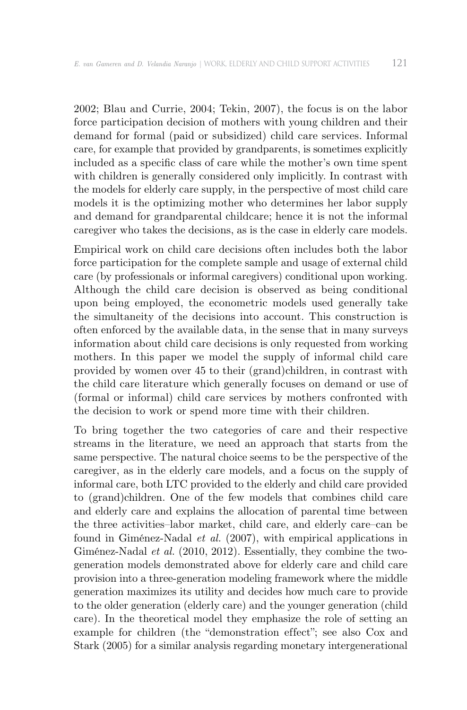2002; Blau and Currie, 2004; Tekin, 2007), the focus is on the labor force participation decision of mothers with young children and their demand for formal (paid or subsidized) child care services. Informal care, for example that provided by grandparents, is sometimes explicitly included as a specific class of care while the mother's own time spent with children is generally considered only implicitly. In contrast with the models for elderly care supply, in the perspective of most child care models it is the optimizing mother who determines her labor supply and demand for grandparental childcare; hence it is not the informal caregiver who takes the decisions, as is the case in elderly care models.

Empirical work on child care decisions often includes both the labor force participation for the complete sample and usage of external child care (by professionals or informal caregivers) conditional upon working. Although the child care decision is observed as being conditional upon being employed, the econometric models used generally take the simultaneity of the decisions into account. This construction is often enforced by the available data, in the sense that in many surveys information about child care decisions is only requested from working mothers. In this paper we model the supply of informal child care provided by women over 45 to their (grand)children, in contrast with the child care literature which generally focuses on demand or use of (formal or informal) child care services by mothers confronted with the decision to work or spend more time with their children.

To bring together the two categories of care and their respective streams in the literature, we need an approach that starts from the same perspective. The natural choice seems to be the perspective of the caregiver, as in the elderly care models, and a focus on the supply of informal care, both LTC provided to the elderly and child care provided to (grand)children. One of the few models that combines child care and elderly care and explains the allocation of parental time between the three activities–labor market, child care, and elderly care–can be found in Giménez-Nadal *et al.* (2007), with empirical applications in Giménez-Nadal *et al.* (2010, 2012). Essentially, they combine the twogeneration models demonstrated above for elderly care and child care provision into a three-generation modeling framework where the middle generation maximizes its utility and decides how much care to provide to the older generation (elderly care) and the younger generation (child care). In the theoretical model they emphasize the role of setting an example for children (the "demonstration effect"; see also Cox and Stark (2005) for a similar analysis regarding monetary intergenerational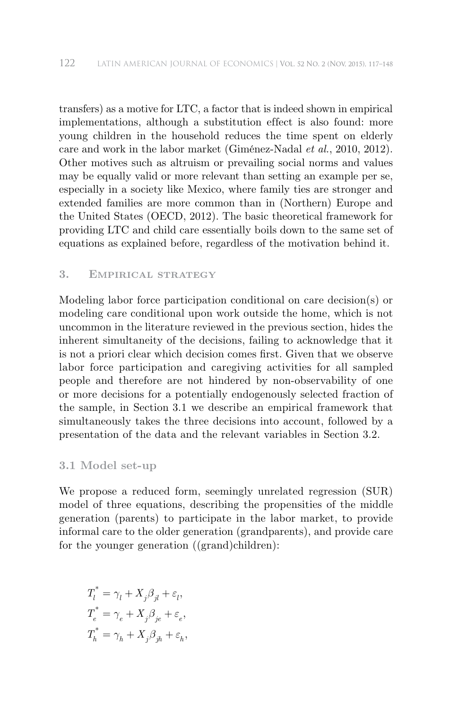transfers) as a motive for LTC, a factor that is indeed shown in empirical implementations, although a substitution effect is also found: more young children in the household reduces the time spent on elderly care and work in the labor market (Giménez-Nadal *et al.*, 2010, 2012). Other motives such as altruism or prevailing social norms and values may be equally valid or more relevant than setting an example per se, especially in a society like Mexico, where family ties are stronger and extended families are more common than in (Northern) Europe and the United States (OECD, 2012). The basic theoretical framework for providing LTC and child care essentially boils down to the same set of equations as explained before, regardless of the motivation behind it.

# **3. Empirical strategy**

Modeling labor force participation conditional on care decision(s) or modeling care conditional upon work outside the home, which is not uncommon in the literature reviewed in the previous section, hides the inherent simultaneity of the decisions, failing to acknowledge that it is not a priori clear which decision comes first. Given that we observe labor force participation and caregiving activities for all sampled people and therefore are not hindered by non-observability of one or more decisions for a potentially endogenously selected fraction of the sample, in Section 3.1 we describe an empirical framework that simultaneously takes the three decisions into account, followed by a presentation of the data and the relevant variables in Section 3.2.

#### **3.1 Model set-up**

We propose a reduced form, seemingly unrelated regression (SUR) model of three equations, describing the propensities of the middle generation (parents) to participate in the labor market, to provide informal care to the older generation (grandparents), and provide care for the younger generation ((grand)children):

$$
\begin{aligned} T_l^* &= \gamma_l + X_j \beta_{jl} + \varepsilon_l, \\ T_e^* &= \gamma_e + X_j \beta_{je} + \varepsilon_e, \\ T_h^* &= \gamma_h + X_j \beta_{jh} + \varepsilon_h, \end{aligned}
$$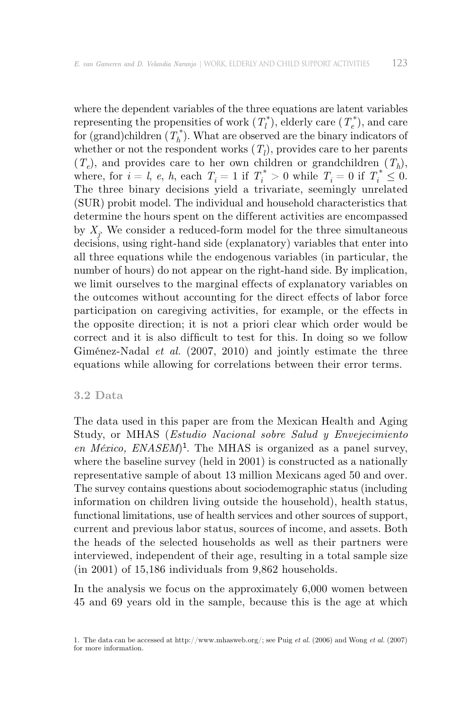where the dependent variables of the three equations are latent variables representing the propensities of work  $(T_l^*)$ , elderly care  $(T_e^*)$ , and care for (grand)children  $(T_h^*)$ . What are observed are the binary indicators of whether or not the respondent works  $(T_l)$ , provides care to her parents  $(T_e)$ , and provides care to her own children or grandchildren  $(T_h)$ , where, for  $i = l$ , *e*, *h*, each  $T_i = 1$  if  $T_i^* > 0$  while  $T_i = 0$  if  $T_i^* \leq 0$ . The three binary decisions yield a trivariate, seemingly unrelated (SUR) probit model. The individual and household characteristics that determine the hours spent on the different activities are encompassed by  $X_j$ . We consider a reduced-form model for the three simultaneous decisions, using right-hand side (explanatory) variables that enter into all three equations while the endogenous variables (in particular, the number of hours) do not appear on the right-hand side. By implication, we limit ourselves to the marginal effects of explanatory variables on the outcomes without accounting for the direct effects of labor force participation on caregiving activities, for example, or the effects in the opposite direction; it is not a priori clear which order would be correct and it is also difficult to test for this. In doing so we follow Giménez-Nadal *et al.* (2007, 2010) and jointly estimate the three equations while allowing for correlations between their error terms.

#### **3.2 Data**

The data used in this paper are from the Mexican Health and Aging Study, or MHAS (*Estudio Nacional sobre Salud y Envejecimiento en México, ENASEM*)1. The MHAS is organized as a panel survey, where the baseline survey (held in 2001) is constructed as a nationally representative sample of about 13 million Mexicans aged 50 and over. The survey contains questions about sociodemographic status (including information on children living outside the household), health status, functional limitations, use of health services and other sources of support, current and previous labor status, sources of income, and assets. Both the heads of the selected households as well as their partners were interviewed, independent of their age, resulting in a total sample size (in 2001) of 15,186 individuals from 9,862 households.

In the analysis we focus on the approximately 6,000 women between 45 and 69 years old in the sample, because this is the age at which

<sup>1.</sup> The data can be accessed at http://www.mhasweb.org/; see Puig *et al.* (2006) and Wong *et al.* (2007) for more information.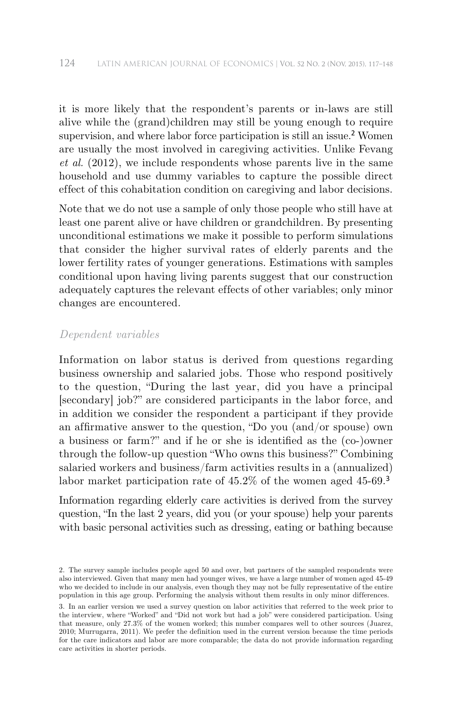it is more likely that the respondent's parents or in-laws are still alive while the (grand)children may still be young enough to require supervision, and where labor force participation is still an issue.<sup>2</sup> Women are usually the most involved in caregiving activities. Unlike Fevang *et al.* (2012), we include respondents whose parents live in the same household and use dummy variables to capture the possible direct effect of this cohabitation condition on caregiving and labor decisions.

Note that we do not use a sample of only those people who still have at least one parent alive or have children or grandchildren. By presenting unconditional estimations we make it possible to perform simulations that consider the higher survival rates of elderly parents and the lower fertility rates of younger generations. Estimations with samples conditional upon having living parents suggest that our construction adequately captures the relevant effects of other variables; only minor changes are encountered.

#### *Dependent variables*

Information on labor status is derived from questions regarding business ownership and salaried jobs. Those who respond positively to the question, "During the last year, did you have a principal [secondary] job?" are considered participants in the labor force, and in addition we consider the respondent a participant if they provide an affirmative answer to the question, "Do you (and/or spouse) own a business or farm?" and if he or she is identified as the (co-)owner through the follow-up question "Who owns this business?" Combining salaried workers and business/farm activities results in a (annualized) labor market participation rate of 45.2% of the women aged 45-69.<sup>3</sup>

Information regarding elderly care activities is derived from the survey question, "In the last 2 years, did you (or your spouse) help your parents with basic personal activities such as dressing, eating or bathing because

<sup>2.</sup> The survey sample includes people aged 50 and over, but partners of the sampled respondents were also interviewed. Given that many men had younger wives, we have a large number of women aged 45-49 who we decided to include in our analysis, even though they may not be fully representative of the entire population in this age group. Performing the analysis without them results in only minor differences.

<sup>3.</sup> In an earlier version we used a survey question on labor activities that referred to the week prior to the interview, where "Worked" and "Did not work but had a job" were considered participation. Using that measure, only 27.3% of the women worked; this number compares well to other sources (Juarez, 2010; Murrugarra, 2011). We prefer the definition used in the current version because the time periods for the care indicators and labor are more comparable; the data do not provide information regarding care activities in shorter periods.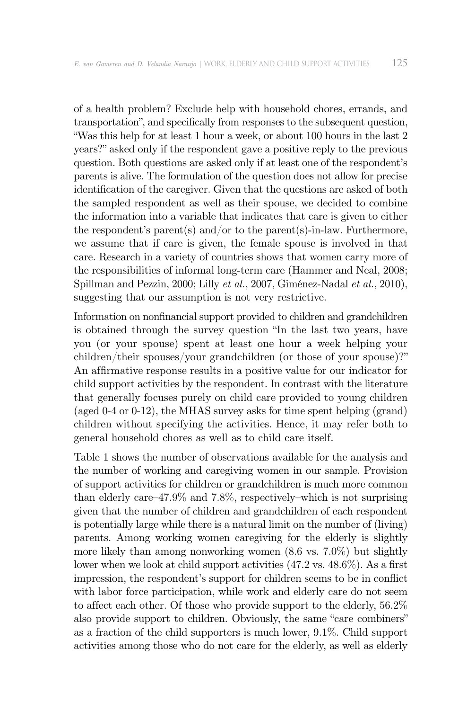of a health problem? Exclude help with household chores, errands, and transportation", and specifically from responses to the subsequent question, "Was this help for at least 1 hour a week, or about 100 hours in the last 2 years?" asked only if the respondent gave a positive reply to the previous question. Both questions are asked only if at least one of the respondent's parents is alive. The formulation of the question does not allow for precise identification of the caregiver. Given that the questions are asked of both the sampled respondent as well as their spouse, we decided to combine the information into a variable that indicates that care is given to either the respondent's parent(s) and/or to the parent(s)-in-law. Furthermore, we assume that if care is given, the female spouse is involved in that care. Research in a variety of countries shows that women carry more of the responsibilities of informal long-term care (Hammer and Neal, 2008; Spillman and Pezzin, 2000; Lilly *et al.*, 2007, Giménez-Nadal *et al.*, 2010), suggesting that our assumption is not very restrictive.

Information on nonfinancial support provided to children and grandchildren is obtained through the survey question "In the last two years, have you (or your spouse) spent at least one hour a week helping your children/their spouses/your grandchildren (or those of your spouse)?" An affirmative response results in a positive value for our indicator for child support activities by the respondent. In contrast with the literature that generally focuses purely on child care provided to young children (aged 0-4 or 0-12), the MHAS survey asks for time spent helping (grand) children without specifying the activities. Hence, it may refer both to general household chores as well as to child care itself.

Table 1 shows the number of observations available for the analysis and the number of working and caregiving women in our sample. Provision of support activities for children or grandchildren is much more common than elderly care–47.9% and 7.8%, respectively–which is not surprising given that the number of children and grandchildren of each respondent is potentially large while there is a natural limit on the number of (living) parents. Among working women caregiving for the elderly is slightly more likely than among nonworking women (8.6 vs. 7.0%) but slightly lower when we look at child support activities (47.2 vs. 48.6%). As a first impression, the respondent's support for children seems to be in conflict with labor force participation, while work and elderly care do not seem to affect each other. Of those who provide support to the elderly,  $56.2\%$ also provide support to children. Obviously, the same "care combiners" as a fraction of the child supporters is much lower, 9.1%. Child support activities among those who do not care for the elderly, as well as elderly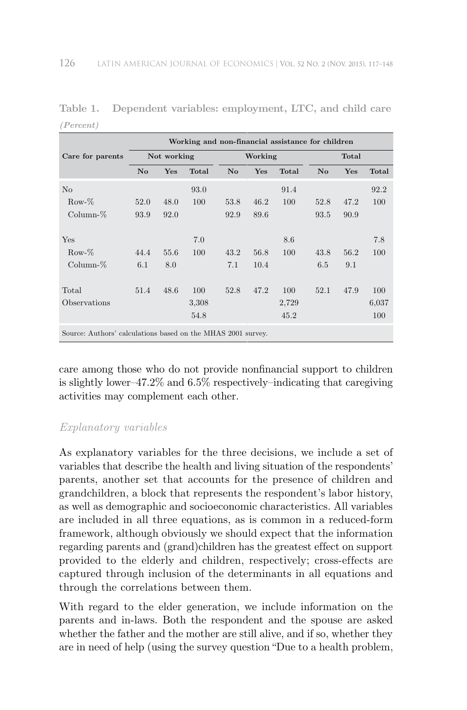|                                                              |                |             | Working and non-financial assistance for children |                        |         |       |                |       |       |
|--------------------------------------------------------------|----------------|-------------|---------------------------------------------------|------------------------|---------|-------|----------------|-------|-------|
| Care for parents                                             |                | Not working |                                                   |                        | Working |       |                | Total |       |
|                                                              | N <sub>o</sub> | Yes         | Total                                             | $\mathbf{N}\mathbf{o}$ | Yes     | Total | N <sub>o</sub> | Yes   | Total |
| N <sub>0</sub>                                               |                |             | 93.0                                              |                        |         | 91.4  |                |       | 92.2  |
| $Row-%$                                                      | 52.0           | 48.0        | 100                                               | 53.8                   | 46.2    | 100   | 52.8           | 47.2  | 100   |
| $Column-%$                                                   | 93.9           | 92.0        |                                                   | 92.9                   | 89.6    |       | 93.5           | 90.9  |       |
|                                                              |                |             |                                                   |                        |         |       |                |       |       |
| Yes                                                          |                |             | 7.0                                               |                        |         | 8.6   |                |       | 7.8   |
| $Row-%$                                                      | 44.4           | 55.6        | 100                                               | 43.2                   | 56.8    | 100   | 43.8           | 56.2  | 100   |
| $Column-%$                                                   | 6.1            | 8.0         |                                                   | 7.1                    | 10.4    |       | 6.5            | 9.1   |       |
|                                                              |                |             |                                                   |                        |         |       |                |       |       |
| Total                                                        | 51.4           | 48.6        | 100                                               | 52.8                   | 47.2    | 100   | 52.1           | 47.9  | 100   |
| Observations                                                 |                |             | 3,308                                             |                        |         | 2,729 |                |       | 6,037 |
|                                                              |                |             | 54.8                                              |                        |         | 45.2  |                |       | 100   |
| Source: Authors' calculations based on the MHAS 2001 survey. |                |             |                                                   |                        |         |       |                |       |       |

**Table 1. Dependent variables: employment, LTC, and child care** *(Percent)*

care among those who do not provide nonfinancial support to children is slightly lower–47.2% and 6.5% respectively–indicating that caregiving activities may complement each other.

# *Explanatory variables*

As explanatory variables for the three decisions, we include a set of variables that describe the health and living situation of the respondents' parents, another set that accounts for the presence of children and grandchildren, a block that represents the respondent's labor history, as well as demographic and socioeconomic characteristics. All variables are included in all three equations, as is common in a reduced-form framework, although obviously we should expect that the information regarding parents and (grand)children has the greatest effect on support provided to the elderly and children, respectively; cross-effects are captured through inclusion of the determinants in all equations and through the correlations between them.

With regard to the elder generation, we include information on the parents and in-laws. Both the respondent and the spouse are asked whether the father and the mother are still alive, and if so, whether they are in need of help (using the survey question "Due to a health problem,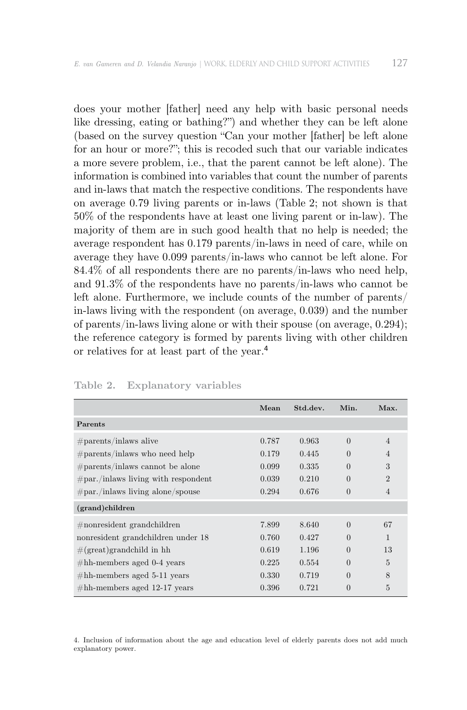does your mother [father] need any help with basic personal needs like dressing, eating or bathing?") and whether they can be left alone (based on the survey question "Can your mother [father] be left alone for an hour or more?"; this is recoded such that our variable indicates a more severe problem, i.e., that the parent cannot be left alone). The information is combined into variables that count the number of parents and in-laws that match the respective conditions. The respondents have on average 0.79 living parents or in-laws (Table 2; not shown is that 50% of the respondents have at least one living parent or in-law). The majority of them are in such good health that no help is needed; the average respondent has 0.179 parents/in-laws in need of care, while on average they have 0.099 parents/in-laws who cannot be left alone. For 84.4% of all respondents there are no parents/in-laws who need help, and 91.3% of the respondents have no parents/in-laws who cannot be left alone. Furthermore, we include counts of the number of parents/ in-laws living with the respondent (on average, 0.039) and the number of parents/in-laws living alone or with their spouse (on average, 0.294); the reference category is formed by parents living with other children or relatives for at least part of the year.<sup>4</sup>

|                                         | Mean  | Std.dev. | Min.           | Max.           |
|-----------------------------------------|-------|----------|----------------|----------------|
| Parents                                 |       |          |                |                |
| $\#parents/inlaws$ alive                | 0.787 | 0.963    | $\Omega$       | $\overline{4}$ |
| $\#parents/inlaws$ who need help        | 0.179 | 0.445    | $\Omega$       | $\overline{4}$ |
| $\#parents/inlaws cannot be alone$      | 0.099 | 0.335    | $\Omega$       | 3              |
| $\#par$ ./inlaws living with respondent | 0.039 | 0.210    | $\Omega$       | $\overline{2}$ |
| $\#par$ /inlaws living alone/spouse     | 0.294 | 0.676    | $\overline{0}$ | $\overline{4}$ |
| (grand)children                         |       |          |                |                |
| $#nonresident$ grandchildren            | 7.899 | 8.640    | $\Omega$       | 67             |
| nonresident grandchildren under 18      | 0.760 | 0.427    | $\Omega$       | 1              |
| $\#(\text{great})$ grandchild in hh     | 0.619 | 1.196    | $\Omega$       | 13             |
| $\#hh$ -members aged 0-4 years          | 0.225 | 0.554    | $\Omega$       | $\overline{5}$ |
| $\#hh$ -members aged 5-11 years         | 0.330 | 0.719    | $\Omega$       | 8              |
| $\#hh$ -members aged 12-17 years        | 0.396 | 0.721    | $\Omega$       | 5              |

**Table 2. Explanatory variables**

4. Inclusion of information about the age and education level of elderly parents does not add much explanatory power.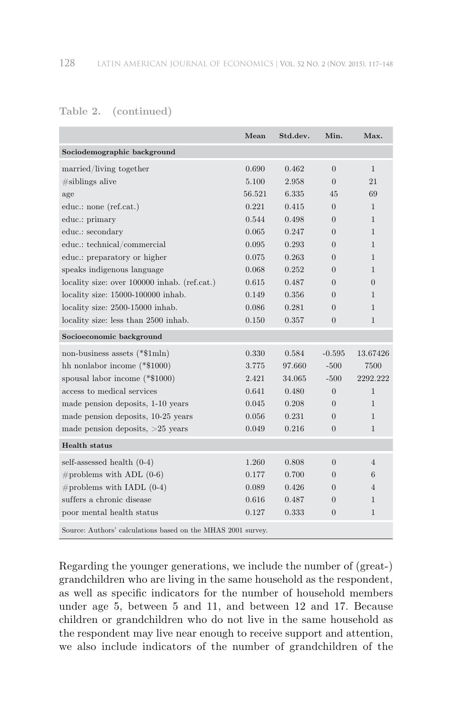|                                                              | Mean   | Std.dev. | Min.     | Max.           |
|--------------------------------------------------------------|--------|----------|----------|----------------|
| Sociodemographic background                                  |        |          |          |                |
| married/living together                                      | 0.690  | 0.462    | $\Omega$ | $\mathbf{1}$   |
| $\#$ siblings alive                                          | 5.100  | 2.958    | $\Omega$ | 21             |
| age                                                          | 56.521 | 6.335    | 45       | 69             |
| educ.: none (ref.cat.)                                       | 0.221  | 0.415    | $\theta$ | $\mathbf{1}$   |
| educ.: primary                                               | 0.544  | 0.498    | $\Omega$ | $\mathbf{1}$   |
| educ.: secondary                                             | 0.065  | 0.247    | $\Omega$ | 1              |
| educ.: technical/commercial                                  | 0.095  | 0.293    | $\Omega$ | $\mathbf{1}$   |
| educ.: preparatory or higher                                 | 0.075  | 0.263    | $\Omega$ | $\mathbf{1}$   |
| speaks indigenous language                                   | 0.068  | 0.252    | $\Omega$ | $\mathbf{1}$   |
| locality size: over 100000 inhab. (ref.cat.)                 | 0.615  | 0.487    | $\Omega$ | $\theta$       |
| locality size: 15000-100000 inhab.                           | 0.149  | 0.356    | $\Omega$ | 1              |
| locality size: 2500-15000 inhab.                             | 0.086  | 0.281    | $\Omega$ | $\mathbf{1}$   |
| locality size: less than 2500 inhab.                         | 0.150  | 0.357    | $\theta$ | $\mathbf{1}$   |
| Socioeconomic background                                     |        |          |          |                |
| non-business assets (*\$1mln)                                | 0.330  | 0.584    | $-0.595$ | 13.67426       |
| hh nonlabor income $(*\$1000)$                               | 3.775  | 97.660   | $-500$   | 7500           |
| spousal labor income $(*\$1000)$                             | 2.421  | 34.065   | $-500$   | 2292.222       |
| access to medical services                                   | 0.641  | 0.480    | $\Omega$ | $\mathbf{1}$   |
| made pension deposits, 1-10 years                            | 0.045  | 0.208    | $\Omega$ | $\mathbf{1}$   |
| made pension deposits, 10-25 years                           | 0.056  | 0.231    | $\Omega$ | $\mathbf{1}$   |
| made pension deposits, $>25$ years                           | 0.049  | 0.216    | $\theta$ | 1              |
| <b>Health</b> status                                         |        |          |          |                |
| self-assessed health (0-4)                                   | 1.260  | 0.808    | $\Omega$ | $\overline{4}$ |
| $\#$ problems with ADL (0-6)                                 | 0.177  | 0.700    | $\Omega$ | 6              |
| $\#$ problems with IADL (0-4)                                | 0.089  | 0.426    | $\theta$ | $\overline{4}$ |
| suffers a chronic disease                                    | 0.616  | 0.487    | $\Omega$ | $\mathbf{1}$   |
| poor mental health status                                    | 0.127  | 0.333    | $\theta$ | 1              |
| Source: Authors' calculations based on the MHAS 2001 survey. |        |          |          |                |

Regarding the younger generations, we include the number of (great-) grandchildren who are living in the same household as the respondent, as well as specific indicators for the number of household members under age 5, between 5 and 11, and between 12 and 17. Because children or grandchildren who do not live in the same household as the respondent may live near enough to receive support and attention, we also include indicators of the number of grandchildren of the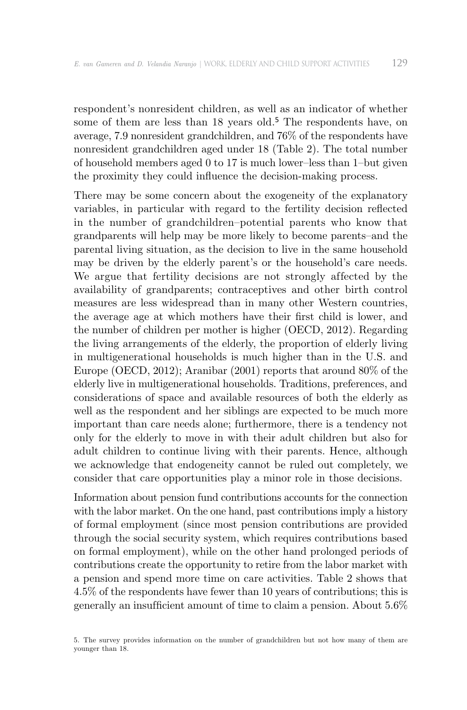respondent's nonresident children, as well as an indicator of whether some of them are less than 18 years old.<sup>5</sup> The respondents have, on average, 7.9 nonresident grandchildren, and 76% of the respondents have nonresident grandchildren aged under 18 (Table 2). The total number of household members aged 0 to 17 is much lower–less than 1–but given the proximity they could influence the decision-making process.

There may be some concern about the exogeneity of the explanatory variables, in particular with regard to the fertility decision reflected in the number of grandchildren–potential parents who know that grandparents will help may be more likely to become parents–and the parental living situation, as the decision to live in the same household may be driven by the elderly parent's or the household's care needs. We argue that fertility decisions are not strongly affected by the availability of grandparents; contraceptives and other birth control measures are less widespread than in many other Western countries, the average age at which mothers have their first child is lower, and the number of children per mother is higher (OECD, 2012). Regarding the living arrangements of the elderly, the proportion of elderly living in multigenerational households is much higher than in the U.S. and Europe (OECD, 2012); Aranibar (2001) reports that around 80% of the elderly live in multigenerational households. Traditions, preferences, and considerations of space and available resources of both the elderly as well as the respondent and her siblings are expected to be much more important than care needs alone; furthermore, there is a tendency not only for the elderly to move in with their adult children but also for adult children to continue living with their parents. Hence, although we acknowledge that endogeneity cannot be ruled out completely, we consider that care opportunities play a minor role in those decisions.

Information about pension fund contributions accounts for the connection with the labor market. On the one hand, past contributions imply a history of formal employment (since most pension contributions are provided through the social security system, which requires contributions based on formal employment), while on the other hand prolonged periods of contributions create the opportunity to retire from the labor market with a pension and spend more time on care activities. Table 2 shows that 4.5% of the respondents have fewer than 10 years of contributions; this is generally an insufficient amount of time to claim a pension. About  $5.6\%$ 

<sup>5.</sup> The survey provides information on the number of grandchildren but not how many of them are younger than 18.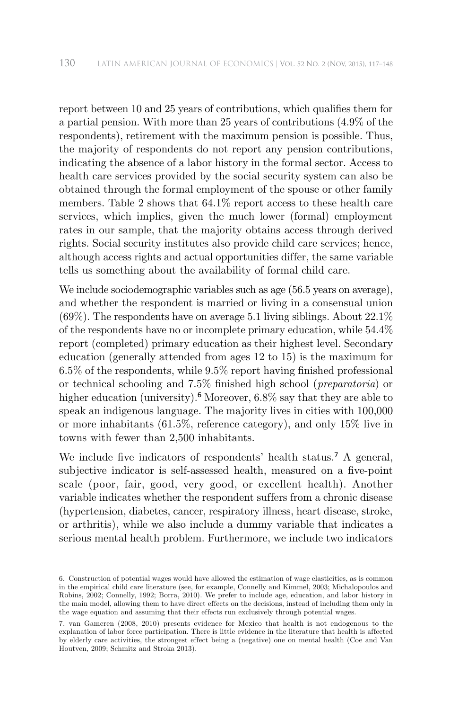report between 10 and 25 years of contributions, which qualifies them for a partial pension. With more than 25 years of contributions (4.9% of the respondents), retirement with the maximum pension is possible. Thus, the majority of respondents do not report any pension contributions, indicating the absence of a labor history in the formal sector. Access to health care services provided by the social security system can also be obtained through the formal employment of the spouse or other family members. Table 2 shows that 64.1% report access to these health care services, which implies, given the much lower (formal) employment rates in our sample, that the majority obtains access through derived rights. Social security institutes also provide child care services; hence, although access rights and actual opportunities differ, the same variable tells us something about the availability of formal child care.

We include sociodemographic variables such as age (56.5 years on average), and whether the respondent is married or living in a consensual union  $(69\%)$ . The respondents have on average 5.1 living siblings. About  $22.1\%$ of the respondents have no or incomplete primary education, while 54.4% report (completed) primary education as their highest level. Secondary education (generally attended from ages 12 to 15) is the maximum for 6.5% of the respondents, while 9.5% report having finished professional or technical schooling and 7.5% finished high school (*preparatoria*) or higher education (university).<sup>6</sup> Moreover, 6.8% say that they are able to speak an indigenous language. The majority lives in cities with 100,000 or more inhabitants (61.5%, reference category), and only 15% live in towns with fewer than 2,500 inhabitants.

We include five indicators of respondents' health status.<sup>7</sup> A general, subjective indicator is self-assessed health, measured on a five-point scale (poor, fair, good, very good, or excellent health). Another variable indicates whether the respondent suffers from a chronic disease (hypertension, diabetes, cancer, respiratory illness, heart disease, stroke, or arthritis), while we also include a dummy variable that indicates a serious mental health problem. Furthermore, we include two indicators

<sup>6.</sup> Construction of potential wages would have allowed the estimation of wage elasticities, as is common in the empirical child care literature (see, for example, Connelly and Kimmel, 2003; Michalopoulos and Robins, 2002; Connelly, 1992; Borra, 2010). We prefer to include age, education, and labor history in the main model, allowing them to have direct effects on the decisions, instead of including them only in the wage equation and assuming that their effects run exclusively through potential wages.

<sup>7.</sup> van Gameren (2008, 2010) presents evidence for Mexico that health is not endogenous to the explanation of labor force participation. There is little evidence in the literature that health is affected by elderly care activities, the strongest ef fect being a (negative) one on mental health (Coe and Van Houtven, 2009; Schmitz and Stroka 2013).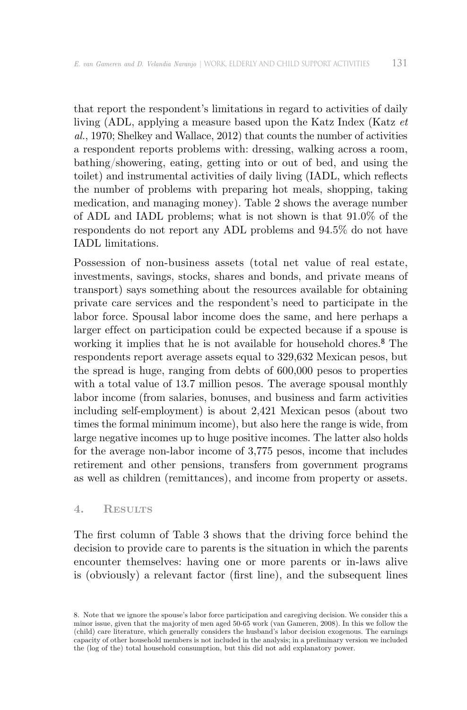that report the respondent's limitations in regard to activities of daily living (ADL, applying a measure based upon the Katz Index (Katz *et al.*, 1970; Shelkey and Wallace, 2012) that counts the number of activities a respondent reports problems with: dressing, walking across a room, bathing/showering, eating, getting into or out of bed, and using the toilet) and instrumental activities of daily living (IADL, which reflects the number of problems with preparing hot meals, shopping, taking medication, and managing money). Table 2 shows the average number of ADL and IADL problems; what is not shown is that 91.0% of the respondents do not report any ADL problems and 94.5% do not have IADL limitations.

Possession of non-business assets (total net value of real estate, investments, savings, stocks, shares and bonds, and private means of transport) says something about the resources available for obtaining private care services and the respondent's need to participate in the labor force. Spousal labor income does the same, and here perhaps a larger effect on participation could be expected because if a spouse is working it implies that he is not available for household chores.8 The respondents report average assets equal to 329,632 Mexican pesos, but the spread is huge, ranging from debts of 600,000 pesos to properties with a total value of 13.7 million pesos. The average spousal monthly labor income (from salaries, bonuses, and business and farm activities including self-employment) is about 2,421 Mexican pesos (about two times the formal minimum income), but also here the range is wide, from large negative incomes up to huge positive incomes. The latter also holds for the average non-labor income of 3,775 pesos, income that includes retirement and other pensions, transfers from government programs as well as children (remittances), and income from property or assets.

#### **4. Results**

The first column of Table 3 shows that the driving force behind the decision to provide care to parents is the situation in which the parents encounter themselves: having one or more parents or in-laws alive is (obviously) a relevant factor (first line), and the subsequent lines

<sup>8.</sup> Note that we ignore the spouse's labor force participation and caregiving decision. We consider this a minor issue, given that the majority of men aged 50-65 work (van Gameren, 2008). In this we follow the (child) care literature, which generally considers the husband's labor decision exogenous. The earnings capacity of other household members is not included in the analysis; in a preliminary version we included the (log of the) total household consumption, but this did not add explanatory power.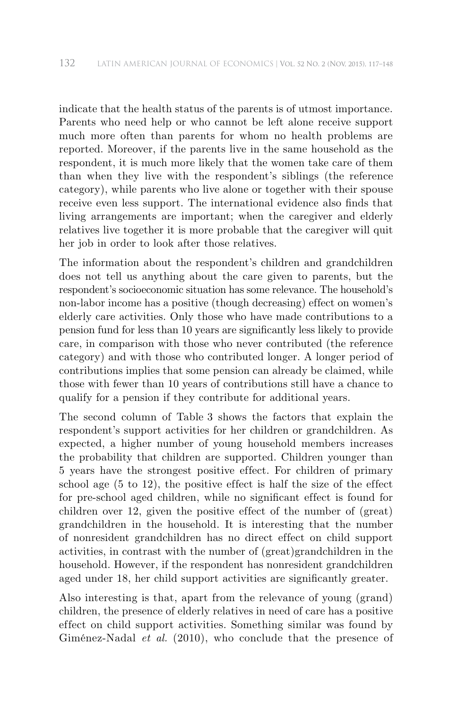indicate that the health status of the parents is of utmost importance. Parents who need help or who cannot be left alone receive support much more often than parents for whom no health problems are reported. Moreover, if the parents live in the same household as the respondent, it is much more likely that the women take care of them than when they live with the respondent's siblings (the reference category), while parents who live alone or together with their spouse receive even less support. The international evidence also finds that living arrangements are important; when the caregiver and elderly relatives live together it is more probable that the caregiver will quit her job in order to look after those relatives.

The information about the respondent's children and grandchildren does not tell us anything about the care given to parents, but the respondent's socioeconomic situation has some relevance. The household's non-labor income has a positive (though decreasing) effect on women's elderly care activities. Only those who have made contributions to a pension fund for less than 10 years are significantly less likely to provide care, in comparison with those who never contributed (the reference category) and with those who contributed longer. A longer period of contributions implies that some pension can already be claimed, while those with fewer than 10 years of contributions still have a chance to qualify for a pension if they contribute for additional years.

The second column of Table 3 shows the factors that explain the respondent's support activities for her children or grandchildren. As expected, a higher number of young household members increases the probability that children are supported. Children younger than 5 years have the strongest positive effect. For children of primary school age  $(5 \text{ to } 12)$ , the positive effect is half the size of the effect for pre-school aged children, while no significant effect is found for children over 12, given the positive effect of the number of  $(great)$ grandchildren in the household. It is interesting that the number of nonresident grandchildren has no direct ef fect on child support activities, in contrast with the number of (great)grandchildren in the household. However, if the respondent has nonresident grandchildren aged under 18, her child support activities are significantly greater.

Also interesting is that, apart from the relevance of young (grand) children, the presence of elderly relatives in need of care has a positive effect on child support activities. Something similar was found by Giménez-Nadal *et al.* (2010), who conclude that the presence of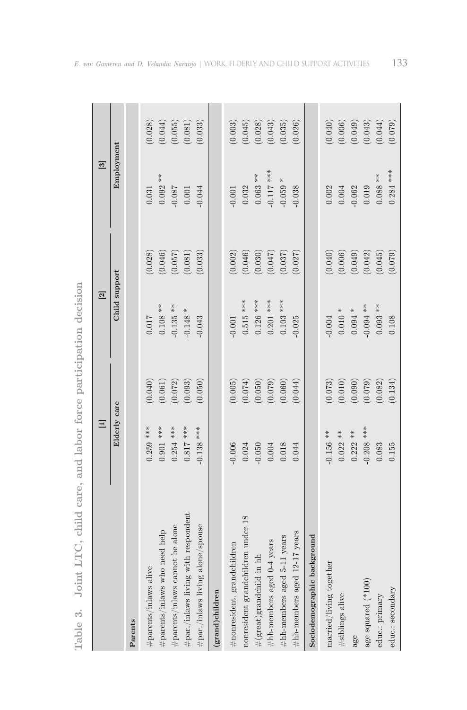|                                                    | $\equiv$     |                        | $\boxed{2}$                   |         | $\overline{\mathcal{E}}$ |                                                              |
|----------------------------------------------------|--------------|------------------------|-------------------------------|---------|--------------------------|--------------------------------------------------------------|
|                                                    | Elderly care |                        | Child support                 |         | Employment               |                                                              |
| Parents                                            |              |                        |                               |         |                          |                                                              |
| #parents/inlaws alive                              | $0.259$ ***  | (0.040)                | 0.017                         | (0.028) | 0.031                    | (0.028)                                                      |
| $\#\text{parents}/\text{inlaws}$ who need help     | $0.901$ ***  | (0.061)                | $0.108**$                     | (0.046) | $0.092**$                | (0.044)                                                      |
| #parents/inlaws cannot be alone                    | $0.254$ ***  | (0.072)                | $0.135**$                     | (0.057) | $-0.087$                 | (0.055)                                                      |
| $\#\text{par./inlaws living with respondent}$      | $0.817$ ***  | (0.093)                | $\ensuremath{\, -0.148 \,}$ * | (0.081) | $0.001\,$                | (0.081)                                                      |
| $\#\text{par}/\text{inlaws}$ living alone/spouse   | $-0.138$ *** | (0.050)                | $-0.043$                      | (0.033) | $-0.044$                 | (0.033)                                                      |
| $(\operatorname{grad})$ children                   |              |                        |                               |         |                          |                                                              |
| $#$ nonresident. grandchildren                     | $-0.006$     | (0.005)                | $-0.001$                      | (0.002) | $-0.001$                 | (0.003)                                                      |
| nonresident grandchildren under 18                 | 0.024        | (0.074)                | $0.515$ ***                   | (0.046) | 0.032                    | $\begin{array}{c} (0.045) \\ (0.028) \\ (0.043) \end{array}$ |
| $\#(\text{great})\text{grandchild}$ in $\text{hh}$ | $-0.050$     | $(0.050)$<br>$(0.079)$ | $0.126$ ***                   | (0.030) | $0.063***$               |                                                              |
| $\#$ hh-members aged 0-4 years                     | $\rm 0.004$  |                        | $0.201$ ***                   | (0.047) | $-0.117$ ***             |                                                              |
| $\#$ hh-members aged 5-11 years                    | $0.018\,$    | (0.060)                | $0.103$ ***                   | (0.037) | $-0.059$ $^{\ast}$       | (0.035)                                                      |
| $\#$ hh-members aged 12-17 years                   | 0.044        | (0.044)                | $-0.025$                      | (0.027) | $-0.038$                 | (0.026)                                                      |
| Sociodemographic background                        |              |                        |                               |         |                          |                                                              |
| married/living together                            | $-0.156$ **  | (0.073)                | $-0.004$                      | (0.040) | $0.002$                  | (0.040)                                                      |
| #siblings alive                                    | $0.022$ **   | (0.010)                | $0.010$ $^{\ast}$             | (0.006) | $0.004\,$                | $(0.006)$<br>$(0.049)$                                       |
| age                                                | $0.222**$    | (0.090)                | $0.094$ *                     | (0.049) | $-0.062$                 |                                                              |
| age squared (*100)                                 | $-0.208$ *** | (0.079)                | $-0.094$ **                   | (0.042) | 0.019                    | (0.043)                                                      |
| educ.: primary                                     | 0.083        | (0.082)                | $0.093$ **                    | (0.045) | $0.088***$               | (0.044)                                                      |
| educ.: secondary                                   | 0.155        | (0.134)                | 0.108                         | (0.079) | $0.284$ ***              | (0.079)                                                      |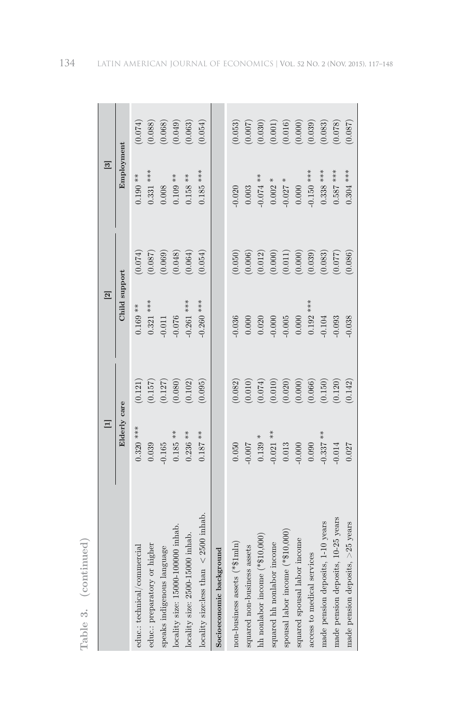|                                                                       | $\equiv$               |                                                                                                                                           | $\overline{2}$                                         |                                                                                                                                  | $\overline{\mathbf{3}}$ |                                                                                                                                |
|-----------------------------------------------------------------------|------------------------|-------------------------------------------------------------------------------------------------------------------------------------------|--------------------------------------------------------|----------------------------------------------------------------------------------------------------------------------------------|-------------------------|--------------------------------------------------------------------------------------------------------------------------------|
|                                                                       | Elderly care           |                                                                                                                                           | Child support                                          |                                                                                                                                  | Employment              |                                                                                                                                |
| educ.: technical/commercial                                           | $0.320***$             | (0.121)                                                                                                                                   | $0.169**$                                              | $\begin{array}{c} (0.074) \\ (0.087) \\ (0.069) \\ (0.069) \\ (0.048) \\ \end{array}$                                            | $0.190**$               | $(0.074)$<br>$(0.088)$<br>$(0.068)$<br>$(0.063)$<br>$(0.049)$                                                                  |
| higher<br>educ.: preparatory or                                       | 0.039                  |                                                                                                                                           | $0.321$ ***                                            |                                                                                                                                  | $0.331$ ***             |                                                                                                                                |
| guage<br>speaks indigenous lan                                        | $0.185**$<br>$0.165\,$ |                                                                                                                                           | $\begin{array}{c} 0.011 \\ 0.076 \end{array}$          |                                                                                                                                  | $0.109**$<br>0.008      |                                                                                                                                |
| locality size: 15000-100000 inhab<br>locality size: 2500-15000 inhab. | $0.236**$              | $\begin{array}{c} (0.157) \\ (0.127) \\ (0.080) \\ (0.102) \end{array}$                                                                   | $0.261$ ***                                            |                                                                                                                                  | $0.158**$               |                                                                                                                                |
| $< 2500$ inhab<br>$\it locality$ size:<br>less than                   | $0.187***$             | (0.095)                                                                                                                                   | $0.260$ ***                                            | (0.054)                                                                                                                          | $0.185$ ***             | (0.054)                                                                                                                        |
| Socioeconomic background                                              |                        |                                                                                                                                           |                                                        |                                                                                                                                  |                         |                                                                                                                                |
| non-business assets (*\$1mln)                                         | 0.050                  |                                                                                                                                           | 0.036                                                  |                                                                                                                                  | 0.020                   |                                                                                                                                |
| assets<br>squared non-business                                        | $0.007$                |                                                                                                                                           |                                                        |                                                                                                                                  | 0.003                   |                                                                                                                                |
| $(*\$10,000)$<br>hh nonlabor income (                                 | $0.139$ $^{\ast}$      | $\begin{array}{l} (0.082) \\ (0.010) \\ (0.074) \\ (0.010) \\ (0.020) \\ (0.000) \\ (0.066) \\ (0.150) \\ (0.110) \\ (0.120) \end{array}$ | $\begin{array}{c} 0.000 \\ 0.020 \\ 0.000 \end{array}$ | $\begin{array}{l} (0.050) \ (0.006) \ (0.012) \ (0.011) \ (0.011) \ (0.000) \ (0.000) \ (0.003) \ (0.003) \ (0.003) \end{array}$ | $-0.074$ **             | $\begin{array}{l} (0.053) \\ (0.007) \\ (0.030) \\ (0.011) \\ (0.010) \\ (0.000) \\ (0.039) \\ (0.033) \\ (0.083) \end{array}$ |
| squared hh nonlabor income                                            | $0.021$ **             |                                                                                                                                           |                                                        |                                                                                                                                  | $0.002$ $^{\ast}$       |                                                                                                                                |
| $(*\$10,000$<br>spousal labor income                                  | $\rm 0.013$            |                                                                                                                                           |                                                        |                                                                                                                                  | $0.027$ $^{\ast}$       |                                                                                                                                |
| squared spousal labor income                                          | $0.000$<br>$0.090$     |                                                                                                                                           |                                                        |                                                                                                                                  | $0.000$                 |                                                                                                                                |
| access to medical services                                            |                        |                                                                                                                                           | $-0.005$<br>0.000<br>0.192 ***                         |                                                                                                                                  | $0.150***$              |                                                                                                                                |
| made pension deposits, 1-10 years                                     | $0.337***$             |                                                                                                                                           | $0.104\,$                                              |                                                                                                                                  | $0.338$ ***             |                                                                                                                                |
| made pension deposits, 10-25 years                                    | 0.014                  |                                                                                                                                           | 0.093                                                  |                                                                                                                                  | $0.587$ ***             | (0.078)                                                                                                                        |
| made pension deposits, $>25$ years                                    | 0.027                  | (0.142)                                                                                                                                   | 0.038                                                  | (0.086)                                                                                                                          | $0.304$ ***             | (0.087)                                                                                                                        |

Table 3. (continued) **Table 3. (continued)**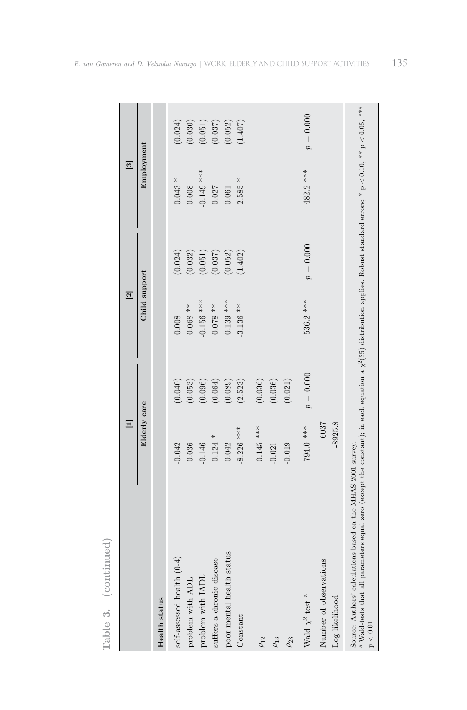|                                                                                                                                                                                                                                                                      | $\equiv$     |             | $\overline{\mathbf{z}}$ |             | $\overline{\mathcal{E}}$ |                        |
|----------------------------------------------------------------------------------------------------------------------------------------------------------------------------------------------------------------------------------------------------------------------|--------------|-------------|-------------------------|-------------|--------------------------|------------------------|
|                                                                                                                                                                                                                                                                      | Elderly care |             | Child support           |             | Employment               |                        |
| Health status                                                                                                                                                                                                                                                        |              |             |                         |             |                          |                        |
| self-assessed health (0-4)                                                                                                                                                                                                                                           | $-0.042$     | (0.040)     | 0.008                   | (0.024)     | $0.043 *$                | (0.024)                |
| problem with ADL                                                                                                                                                                                                                                                     | 0.036        | (0.053)     | $0.068**$               | (0.032)     | 0.008                    | (0.030)                |
| problem with IADL                                                                                                                                                                                                                                                    | $-0.146$     | (0.096)     | $0.156$ ***             | (0.051)     | $0.149$ ***              |                        |
| suffers a chronic disease                                                                                                                                                                                                                                            | $0.124$ *    | (0.064)     | $0.078$ **              | (0.037)     | 0.027                    | $(0.051)$<br>$(0.037)$ |
| poor mental health status                                                                                                                                                                                                                                            | 0.042        | (0.089)     | $0.139$ ***             | (0.052)     | 0.061                    | (0.052)                |
| Constant                                                                                                                                                                                                                                                             | $-8.226$ *** | (2.523)     | $-3.136**$              | (1.402)     | $2.585 *$                | (1.407)                |
| $\rho_{12}$                                                                                                                                                                                                                                                          | $0.145$ ***  | (0.036)     |                         |             |                          |                        |
| $\rho_{13}$                                                                                                                                                                                                                                                          | $-0.021$     | (0.036)     |                         |             |                          |                        |
| $\rho_{23}$                                                                                                                                                                                                                                                          | $-0.019$     | (0.021)     |                         |             |                          |                        |
| Wald $\chi^2$ test $^{\rm a}$                                                                                                                                                                                                                                        | 794.0 ***    | $p = 0.000$ | 536.2 ***               | $p = 0.000$ | 482.2 ***                | $p = 0.000$            |
| Number of observations                                                                                                                                                                                                                                               | 6037         |             |                         |             |                          |                        |
| Log likelihood                                                                                                                                                                                                                                                       | $-8925.8$    |             |                         |             |                          |                        |
| <sup>a</sup> Wald-tests that all parameters equal zero (except the constant); in each equation a $\chi^2(35)$ distribution applies. Robust standard errors; * p < 0.10, ** p < 0.05, ***<br>Source: Authors' calculations based on the MHAS 2001 survey.<br>p < 0.01 |              |             |                         |             |                          |                        |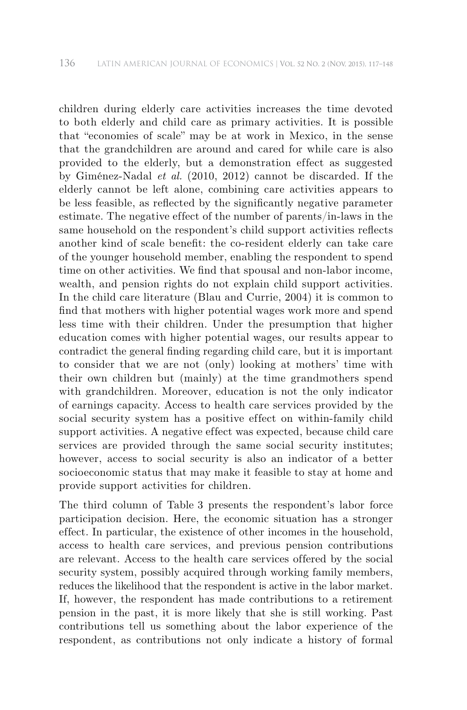children during elderly care activities increases the time devoted to both elderly and child care as primary activities. It is possible that "economies of scale" may be at work in Mexico, in the sense that the grandchildren are around and cared for while care is also provided to the elderly, but a demonstration effect as suggested by Giménez-Nadal *et al.* (2010, 2012) cannot be discarded. If the elderly cannot be left alone, combining care activities appears to be less feasible, as reflected by the significantly negative parameter estimate. The negative effect of the number of parents/in-laws in the same household on the respondent's child support activities reflects another kind of scale benefit: the co-resident elderly can take care of the younger household member, enabling the respondent to spend time on other activities. We find that spousal and non-labor income, wealth, and pension rights do not explain child support activities. In the child care literature (Blau and Currie, 2004) it is common to find that mothers with higher potential wages work more and spend less time with their children. Under the presumption that higher education comes with higher potential wages, our results appear to contradict the general finding regarding child care, but it is important to consider that we are not (only) looking at mothers' time with their own children but (mainly) at the time grandmothers spend with grandchildren. Moreover, education is not the only indicator of earnings capacity. Access to health care services provided by the social security system has a positive effect on within-family child support activities. A negative effect was expected, because child care services are provided through the same social security institutes; however, access to social security is also an indicator of a better socioeconomic status that may make it feasible to stay at home and provide support activities for children.

The third column of Table 3 presents the respondent's labor force participation decision. Here, the economic situation has a stronger effect. In particular, the existence of other incomes in the household, access to health care services, and previous pension contributions are relevant. Access to the health care services of fered by the social security system, possibly acquired through working family members, reduces the likelihood that the respondent is active in the labor market. If, however, the respondent has made contributions to a retirement pension in the past, it is more likely that she is still working. Past contributions tell us something about the labor experience of the respondent, as contributions not only indicate a history of formal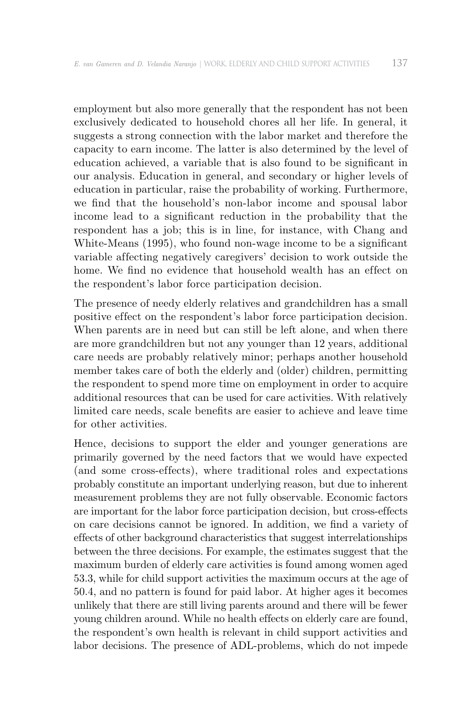employment but also more generally that the respondent has not been exclusively dedicated to household chores all her life. In general, it suggests a strong connection with the labor market and therefore the capacity to earn income. The latter is also determined by the level of education achieved, a variable that is also found to be significant in our analysis. Education in general, and secondary or higher levels of education in particular, raise the probability of working. Furthermore, we find that the household's non-labor income and spousal labor income lead to a significant reduction in the probability that the respondent has a job; this is in line, for instance, with Chang and White-Means (1995), who found non-wage income to be a significant variable affecting negatively caregivers' decision to work outside the home. We find no evidence that household wealth has an effect on the respondent's labor force participation decision.

The presence of needy elderly relatives and grandchildren has a small positive effect on the respondent's labor force participation decision. When parents are in need but can still be left alone, and when there are more grandchildren but not any younger than 12 years, additional care needs are probably relatively minor; perhaps another household member takes care of both the elderly and (older) children, permitting the respondent to spend more time on employment in order to acquire additional resources that can be used for care activities. With relatively limited care needs, scale benefits are easier to achieve and leave time for other activities.

Hence, decisions to support the elder and younger generations are primarily governed by the need factors that we would have expected (and some cross-effects), where traditional roles and expectations probably constitute an important underlying reason, but due to inherent measurement problems they are not fully observable. Economic factors are important for the labor force participation decision, but cross-effects on care decisions cannot be ignored. In addition, we find a variety of effects of other background characteristics that suggest interrelationships between the three decisions. For example, the estimates suggest that the maximum burden of elderly care activities is found among women aged 53.3, while for child support activities the maximum occurs at the age of 50.4, and no pattern is found for paid labor. At higher ages it becomes unlikely that there are still living parents around and there will be fewer young children around. While no health effects on elderly care are found, the respondent's own health is relevant in child support activities and labor decisions. The presence of ADL-problems, which do not impede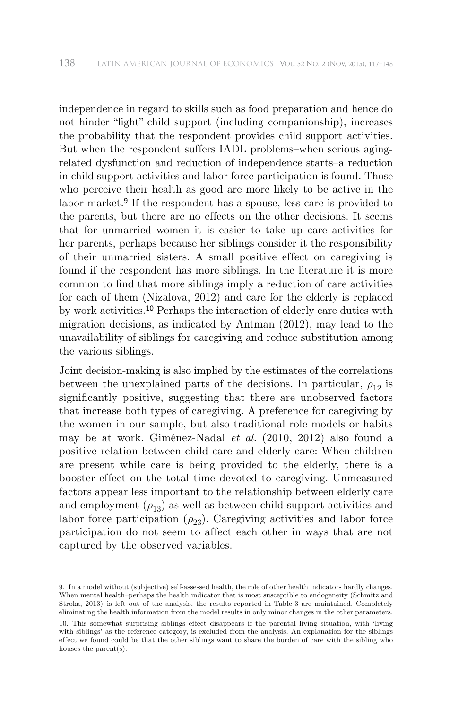independence in regard to skills such as food preparation and hence do not hinder "light" child support (including companionship), increases the probability that the respondent provides child support activities. But when the respondent suffers IADL problems–when serious agingrelated dysfunction and reduction of independence starts–a reduction in child support activities and labor force participation is found. Those who perceive their health as good are more likely to be active in the labor market.<sup>9</sup> If the respondent has a spouse, less care is provided to the parents, but there are no effects on the other decisions. It seems that for unmarried women it is easier to take up care activities for her parents, perhaps because her siblings consider it the responsibility of their unmarried sisters. A small positive effect on caregiving is found if the respondent has more siblings. In the literature it is more common to find that more siblings imply a reduction of care activities for each of them (Nizalova, 2012) and care for the elderly is replaced by work activities.10 Perhaps the interaction of elderly care duties with migration decisions, as indicated by Antman (2012), may lead to the unavailability of siblings for caregiving and reduce substitution among the various siblings.

Joint decision-making is also implied by the estimates of the correlations between the unexplained parts of the decisions. In particular,  $\rho_{12}$  is significantly positive, suggesting that there are unobserved factors that increase both types of caregiving. A preference for caregiving by the women in our sample, but also traditional role models or habits may be at work. Giménez-Nadal *et al.* (2010, 2012) also found a positive relation between child care and elderly care: When children are present while care is being provided to the elderly, there is a booster effect on the total time devoted to caregiving. Unmeasured factors appear less important to the relationship between elderly care and employment  $(\rho_{13})$  as well as between child support activities and labor force participation  $(\rho_{23})$ . Caregiving activities and labor force participation do not seem to af fect each other in ways that are not captured by the observed variables.

<sup>9.</sup> In a model without (subjective) self-assessed health, the role of other health indicators hardly changes. When mental health–perhaps the health indicator that is most susceptible to endogeneity (Schmitz and Stroka, 2013)–is left out of the analysis, the results reported in Table 3 are maintained. Completely eliminating the health information from the model results in only minor changes in the other parameters. 10. This somewhat surprising siblings effect disappears if the parental living situation, with 'living with siblings' as the reference category, is excluded from the analysis. An explanation for the siblings effect we found could be that the other siblings want to share the burden of care with the sibling who houses the parent(s).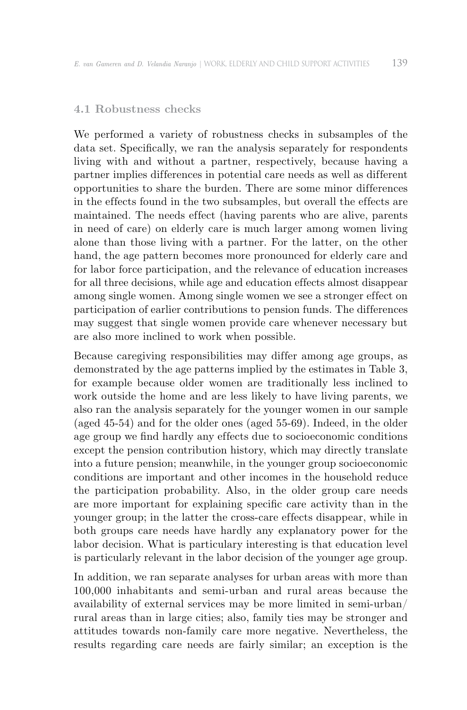# **4.1 Robustness checks**

We performed a variety of robustness checks in subsamples of the data set. Specifically, we ran the analysis separately for respondents living with and without a partner, respectively, because having a partner implies differences in potential care needs as well as different opportunities to share the burden. There are some minor dif ferences in the effects found in the two subsamples, but overall the effects are maintained. The needs effect (having parents who are alive, parents in need of care) on elderly care is much larger among women living alone than those living with a partner. For the latter, on the other hand, the age pattern becomes more pronounced for elderly care and for labor force participation, and the relevance of education increases for all three decisions, while age and education effects almost disappear among single women. Among single women we see a stronger effect on participation of earlier contributions to pension funds. The differences may suggest that single women provide care whenever necessary but are also more inclined to work when possible.

Because caregiving responsibilities may differ among age groups, as demonstrated by the age patterns implied by the estimates in Table 3, for example because older women are traditionally less inclined to work outside the home and are less likely to have living parents, we also ran the analysis separately for the younger women in our sample (aged 45-54) and for the older ones (aged 55-69). Indeed, in the older age group we find hardly any effects due to socioeconomic conditions except the pension contribution history, which may directly translate into a future pension; meanwhile, in the younger group socioeconomic conditions are important and other incomes in the household reduce the participation probability. Also, in the older group care needs are more important for explaining specific care activity than in the younger group; in the latter the cross-care effects disappear, while in both groups care needs have hardly any explanatory power for the labor decision. What is particulary interesting is that education level is particularly relevant in the labor decision of the younger age group.

In addition, we ran separate analyses for urban areas with more than 100,000 inhabitants and semi-urban and rural areas because the availability of external services may be more limited in semi-urban/ rural areas than in large cities; also, family ties may be stronger and attitudes towards non-family care more negative. Nevertheless, the results regarding care needs are fairly similar; an exception is the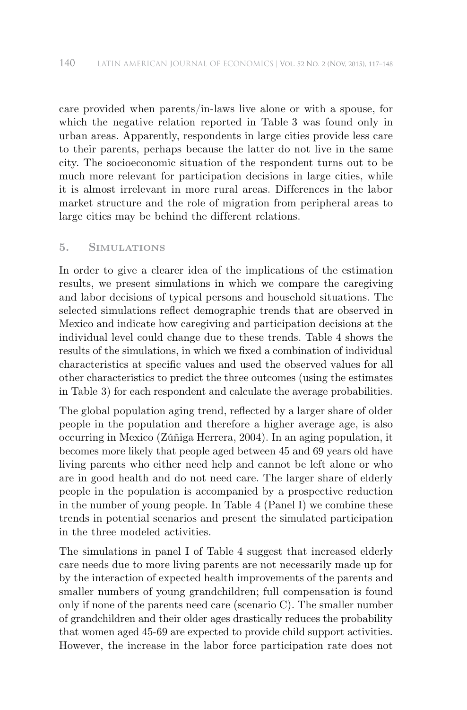care provided when parents/in-laws live alone or with a spouse, for which the negative relation reported in Table 3 was found only in urban areas. Apparently, respondents in large cities provide less care to their parents, perhaps because the latter do not live in the same city. The socioeconomic situation of the respondent turns out to be much more relevant for participation decisions in large cities, while it is almost irrelevant in more rural areas. Differences in the labor market structure and the role of migration from peripheral areas to large cities may be behind the different relations.

# **5. Simulations**

In order to give a clearer idea of the implications of the estimation results, we present simulations in which we compare the caregiving and labor decisions of typical persons and household situations. The selected simulations reflect demographic trends that are observed in Mexico and indicate how caregiving and participation decisions at the individual level could change due to these trends. Table 4 shows the results of the simulations, in which we fixed a combination of individual characteristics at specific values and used the observed values for all other characteristics to predict the three outcomes (using the estimates in Table 3) for each respondent and calculate the average probabilities.

The global population aging trend, reflected by a larger share of older people in the population and therefore a higher average age, is also occurring in Mexico (Zúñiga Herrera, 2004). In an aging population, it becomes more likely that people aged between 45 and 69 years old have living parents who either need help and cannot be left alone or who are in good health and do not need care. The larger share of elderly people in the population is accompanied by a prospective reduction in the number of young people. In Table 4 (Panel I) we combine these trends in potential scenarios and present the simulated participation in the three modeled activities.

The simulations in panel I of Table 4 suggest that increased elderly care needs due to more living parents are not necessarily made up for by the interaction of expected health improvements of the parents and smaller numbers of young grandchildren; full compensation is found only if none of the parents need care (scenario C). The smaller number of grandchildren and their older ages drastically reduces the probability that women aged 45-69 are expected to provide child support activities. However, the increase in the labor force participation rate does not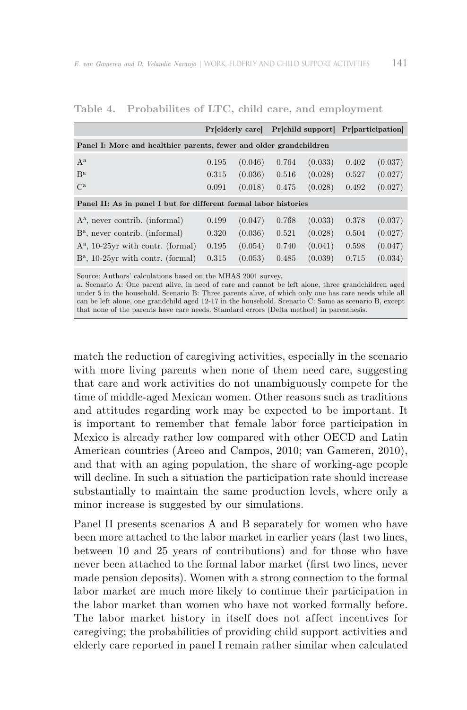|                                                                    | Predderly care |         |       | Pr[child support] | Pr[participation] |         |
|--------------------------------------------------------------------|----------------|---------|-------|-------------------|-------------------|---------|
| Panel I: More and healthier parents, fewer and older grandchildren |                |         |       |                   |                   |         |
| $A^a$                                                              | 0.195          | (0.046) | 0.764 | (0.033)           | 0.402             | (0.037) |
| $\mathbf{B}^{\mathbf{a}}$                                          | 0.315          | (0.036) | 0.516 | (0.028)           | 0.527             | (0.027) |
| $C^{\rm a}$                                                        | 0.091          | (0.018) | 0.475 | (0.028)           | 0.492             | (0.027) |
| Panel II: As in panel I but for different formal labor histories   |                |         |       |                   |                   |         |
| $A^a$ , never contrib. (informal)                                  | 0.199          | (0.047) | 0.768 | (0.033)           | 0.378             | (0.037) |
| $B^a$ , never contrib. (informal)                                  | 0.320          | (0.036) | 0.521 | (0.028)           | 0.504             | (0.027) |
| $A^a$ , 10-25 yr with contr. (formal)                              | 0.195          | (0.054) | 0.740 | (0.041)           | 0.598             | (0.047) |
| $B^a$ , 10-25 vr with contr. (formal)                              | 0.315          | (0.053) | 0.485 | (0.039)           | 0.715             | (0.034) |

**Table 4. Probabilites of LTC, child care, and employment**

Source: Authors' calculations based on the MHAS 2001 survey.

a. Scenario A: One parent alive, in need of care and cannot be left alone, three grandchildren aged under 5 in the household. Scenario B: Three parents alive, of which only one has care needs while all can be left alone, one grandchild aged 12-17 in the household. Scenario C: Same as scenario B, except that none of the parents have care needs. Standard errors (Delta method) in parenthesis.

match the reduction of caregiving activities, especially in the scenario with more living parents when none of them need care, suggesting that care and work activities do not unambiguously compete for the time of middle-aged Mexican women. Other reasons such as traditions and attitudes regarding work may be expected to be important. It is important to remember that female labor force participation in Mexico is already rather low compared with other OECD and Latin American countries (Arceo and Campos, 2010; van Gameren, 2010), and that with an aging population, the share of working-age people will decline. In such a situation the participation rate should increase substantially to maintain the same production levels, where only a minor increase is suggested by our simulations.

Panel II presents scenarios A and B separately for women who have been more attached to the labor market in earlier years (last two lines, between 10 and 25 years of contributions) and for those who have never been attached to the formal labor market (first two lines, never made pension deposits). Women with a strong connection to the formal labor market are much more likely to continue their participation in the labor market than women who have not worked formally before. The labor market history in itself does not affect incentives for caregiving; the probabilities of providing child support activities and elderly care reported in panel I remain rather similar when calculated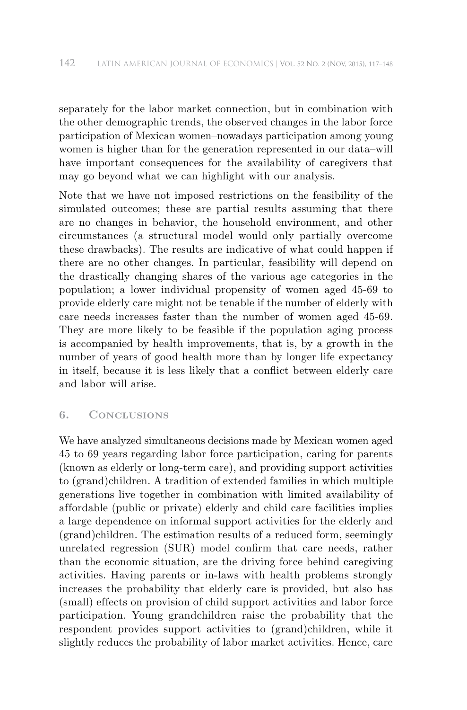separately for the labor market connection, but in combination with the other demographic trends, the observed changes in the labor force participation of Mexican women–nowadays participation among young women is higher than for the generation represented in our data–will have important consequences for the availability of caregivers that may go beyond what we can highlight with our analysis.

Note that we have not imposed restrictions on the feasibility of the simulated outcomes; these are partial results assuming that there are no changes in behavior, the household environment, and other circumstances (a structural model would only partially overcome these drawbacks). The results are indicative of what could happen if there are no other changes. In particular, feasibility will depend on the drastically changing shares of the various age categories in the population; a lower individual propensity of women aged 45-69 to provide elderly care might not be tenable if the number of elderly with care needs increases faster than the number of women aged 45-69. They are more likely to be feasible if the population aging process is accompanied by health improvements, that is, by a growth in the number of years of good health more than by longer life expectancy in itself, because it is less likely that a conflict between elderly care and labor will arise.

# **6. Conclusions**

We have analyzed simultaneous decisions made by Mexican women aged 45 to 69 years regarding labor force participation, caring for parents (known as elderly or long-term care), and providing support activities to (grand)children. A tradition of extended families in which multiple generations live together in combination with limited availability of af fordable (public or private) elderly and child care facilities implies a large dependence on informal support activities for the elderly and (grand)children. The estimation results of a reduced form, seemingly unrelated regression (SUR) model confirm that care needs, rather than the economic situation, are the driving force behind caregiving activities. Having parents or in-laws with health problems strongly increases the probability that elderly care is provided, but also has (small) effects on provision of child support activities and labor force participation. Young grandchildren raise the probability that the respondent provides support activities to (grand)children, while it slightly reduces the probability of labor market activities. Hence, care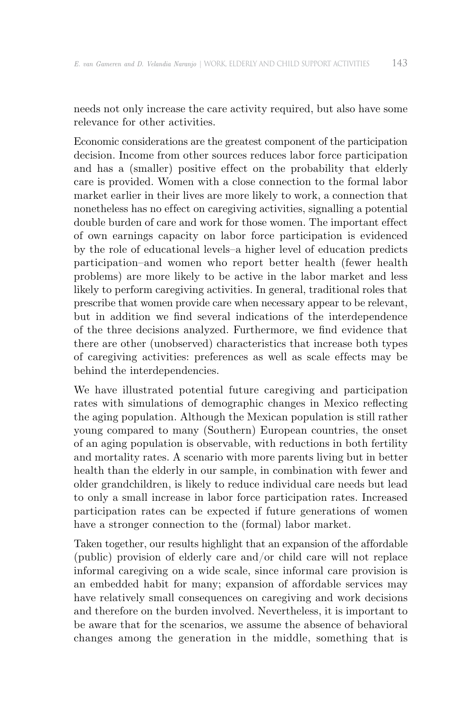needs not only increase the care activity required, but also have some relevance for other activities.

Economic considerations are the greatest component of the participation decision. Income from other sources reduces labor force participation and has a (smaller) positive effect on the probability that elderly care is provided. Women with a close connection to the formal labor market earlier in their lives are more likely to work, a connection that nonetheless has no effect on caregiving activities, signalling a potential double burden of care and work for those women. The important effect of own earnings capacity on labor force participation is evidenced by the role of educational levels–a higher level of education predicts participation–and women who report better health (fewer health problems) are more likely to be active in the labor market and less likely to perform caregiving activities. In general, traditional roles that prescribe that women provide care when necessary appear to be relevant, but in addition we find several indications of the interdependence of the three decisions analyzed. Furthermore, we find evidence that there are other (unobserved) characteristics that increase both types of caregiving activities: preferences as well as scale effects may be behind the interdependencies.

We have illustrated potential future caregiving and participation rates with simulations of demographic changes in Mexico reflecting the aging population. Although the Mexican population is still rather young compared to many (Southern) European countries, the onset of an aging population is observable, with reductions in both fertility and mortality rates. A scenario with more parents living but in better health than the elderly in our sample, in combination with fewer and older grandchildren, is likely to reduce individual care needs but lead to only a small increase in labor force participation rates. Increased participation rates can be expected if future generations of women have a stronger connection to the (formal) labor market.

Taken together, our results highlight that an expansion of the affordable (public) provision of elderly care and/or child care will not replace informal caregiving on a wide scale, since informal care provision is an embedded habit for many; expansion of affordable services may have relatively small consequences on caregiving and work decisions and therefore on the burden involved. Nevertheless, it is important to be aware that for the scenarios, we assume the absence of behavioral changes among the generation in the middle, something that is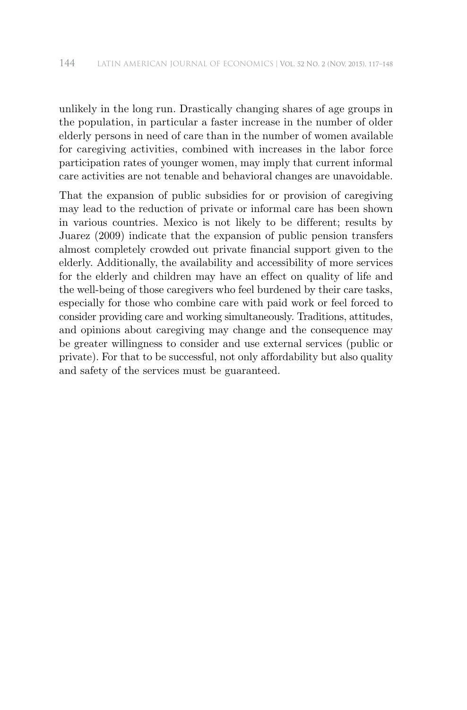unlikely in the long run. Drastically changing shares of age groups in the population, in particular a faster increase in the number of older elderly persons in need of care than in the number of women available for caregiving activities, combined with increases in the labor force participation rates of younger women, may imply that current informal care activities are not tenable and behavioral changes are unavoidable.

That the expansion of public subsidies for or provision of caregiving may lead to the reduction of private or informal care has been shown in various countries. Mexico is not likely to be different; results by Juarez (2009) indicate that the expansion of public pension transfers almost completely crowded out private financial support given to the elderly. Additionally, the availability and accessibility of more services for the elderly and children may have an effect on quality of life and the well-being of those caregivers who feel burdened by their care tasks, especially for those who combine care with paid work or feel forced to consider providing care and working simultaneously. Traditions, attitudes, and opinions about caregiving may change and the consequence may be greater willingness to consider and use external services (public or private). For that to be successful, not only af fordability but also quality and safety of the services must be guaranteed.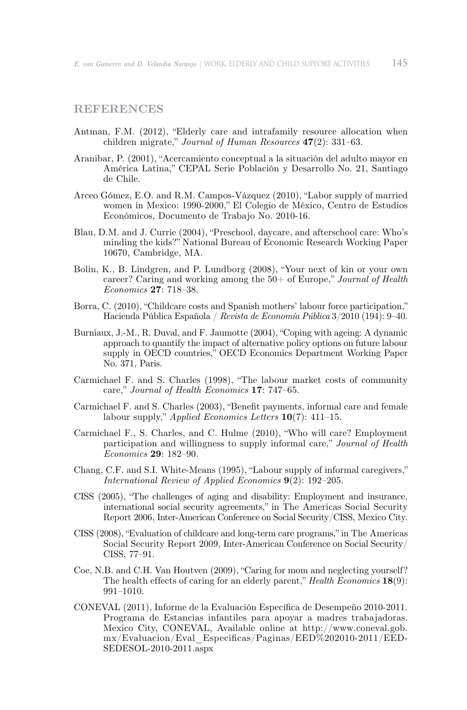# **References**

- Antman, F.M. (2012), "Elderly care and intrafamily resource allocation when children migrate," *Journal of Human Resources* **47**(2): 331–63.
- Aranibar, P. (2001), "Acercamiento conceptual a la situación del adulto mayor en América Latina," CEPAL Serie Población y Desarrollo No. 21, Santiago de Chile.
- Arceo Gómez, E.O. and R.M. Campos-Vázquez (2010), "Labor supply of married women in Mexico: 1990-2000," El Colegio de México, Centro de Estudios Económicos, Documento de Trabajo No. 2010-16.
- Blau, D.M. and J. Currie (2004), "Preschool, daycare, and afterschool care: Who's minding the kids?" National Bureau of Economic Research Working Paper 10670, Cambridge, MA.
- Bolin, K., B. Lindgren, and P. Lundborg (2008), "Your next of kin or your own career? Caring and working among the 50+ of Europe," *Journal of Health Economics* **27**: 718–38.
- Borra, C. (2010), "Childcare costs and Spanish mothers' labour force participation," Hacienda Pública Española / *Revista de Economía Pública* 3/2010 (194): 9–40.
- Burniaux, J.-M., R. Duval, and F. Jaumotte (2004), "Coping with ageing: A dynamic approach to quantify the impact of alternative policy options on future labour supply in OECD countries," OECD Economics Department Working Paper No. 371, Paris.
- Carmichael F. and S. Charles (1998), "The labour market costs of community care," *Journal of Health Economics* **17**: 747–65.
- Carmichael F. and S. Charles (2003), "Benefit payments, informal care and female labour supply," *Applied Economics Letters* **10**(7): 411–15.
- Carmichael F., S. Charles, and C. Hulme (2010), "Who will care? Employment participation and willingness to supply informal care," *Journal of Health Economics* **29**: 182–90.
- Chang, C.F. and S.I. White-Means (1995), "Labour supply of informal caregivers," *International Review of Applied Economics* **9**(2): 192–205.
- CISS (2005), "The challenges of aging and disability: Employment and insurance, international social security agreements," in The Americas Social Security Report 2006, Inter-American Conference on Social Security/CISS, Mexico City.
- CISS (2008), "Evaluation of childcare and long-term care programs," in The Americas Social Security Report 2009, Inter-American Conference on Social Security/ CISS, 77–91.
- Coe, N.B. and C.H. Van Houtven (2009), "Caring for mom and neglecting yourself? The health effects of caring for an elderly parent," *Health Economics* **18**(9): 991–1010.
- CONEVAL (2011), Informe de la Evaluación Específica de Desempeño 2010-2011. Programa de Estancias infantiles para apoyar a madres trabajadoras. Mexico City, CONEVAL, Available online at http://www.coneval.gob. mx/Evaluacion/Eval\_Especificas/Paginas/EED%202010-2011/EED-SEDESOL-2010-2011.aspx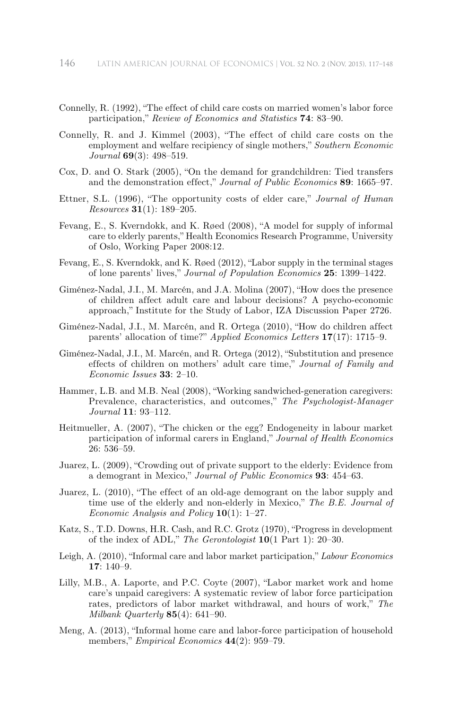- Connelly, R. (1992), "The effect of child care costs on married women's labor force participation," *Review of Economics and Statistics* **74**: 83–90.
- Connelly, R. and J. Kimmel (2003), "The effect of child care costs on the employment and welfare recipiency of single mothers," *Southern Economic Journal* **69**(3): 498–519.
- Cox, D. and O. Stark (2005), "On the demand for grandchildren: Tied transfers and the demonstration effect," *Journal of Public Economics* 89: 1665–97.
- Ettner, S.L. (1996), "The opportunity costs of elder care," *Journal of Human Resources* **31**(1): 189–205.
- Fevang, E., S. Kverndokk, and K. Røed (2008), "A model for supply of informal care to elderly parents," Health Economics Research Programme, University of Oslo, Working Paper 2008:12.
- Fevang, E., S. Kverndokk, and K. Røed (2012), "Labor supply in the terminal stages of lone parents' lives," *Journal of Population Economics* **25**: 1399–1422.
- Giménez-Nadal, J.I., M. Marcén, and J.A. Molina (2007), "How does the presence of children af fect adult care and labour decisions? A psycho-economic approach," Institute for the Study of Labor, IZA Discussion Paper 2726.
- Giménez-Nadal, J.I., M. Marcén, and R. Ortega (2010), "How do children affect parents' allocation of time?" *Applied Economics Letters* **17**(17): 1715–9.
- Giménez-Nadal, J.I., M. Marcén, and R. Ortega (2012), "Substitution and presence effects of children on mothers' adult care time," *Journal of Family and Economic Issues* **33**: 2–10.
- Hammer, L.B. and M.B. Neal (2008), "Working sandwiched-generation caregivers: Prevalence, characteristics, and outcomes," *The Psychologist-Manager Journal* **11**: 93–112.
- Heitmueller, A. (2007), "The chicken or the egg? Endogeneity in labour market participation of informal carers in England," *Journal of Health Economics* 26: 536–59.
- Juarez, L. (2009), "Crowding out of private support to the elderly: Evidence from a demogrant in Mexico," *Journal of Public Economics* **93**: 454–63.
- Juarez, L. (2010), "The effect of an old-age demogrant on the labor supply and time use of the elderly and non-elderly in Mexico," *The B.E. Journal of Economic Analysis and Policy* **10**(1): 1–27.
- Katz, S., T.D. Downs, H.R. Cash, and R.C. Grotz (1970), "Progress in development of the index of ADL," *The Gerontologist* **10**(1 Part 1): 20–30.
- Leigh, A. (2010), "Informal care and labor market participation," *Labour Economics* **17**: 140–9.
- Lilly, M.B., A. Laporte, and P.C. Coyte (2007), "Labor market work and home care's unpaid caregivers: A systematic review of labor force participation rates, predictors of labor market withdrawal, and hours of work," *The Milbank Quarterly* **85**(4): 641–90.
- Meng, A. (2013), "Informal home care and labor-force participation of household members," *Empirical Economics* **44**(2): 959–79.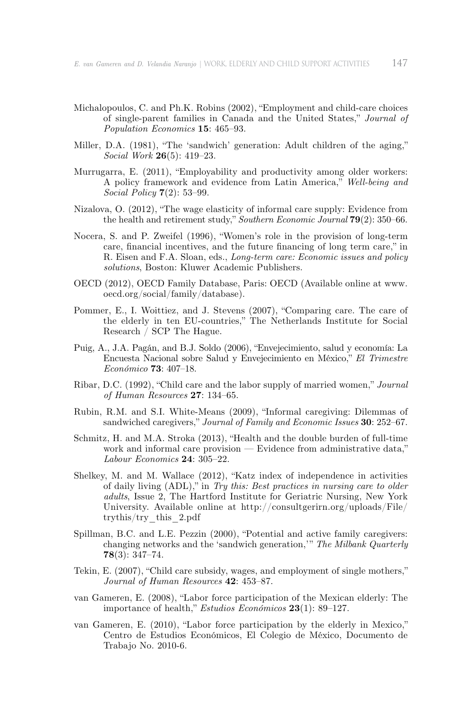- Michalopoulos, C. and Ph.K. Robins (2002), "Employment and child-care choices of single-parent families in Canada and the United States," *Journal of Population Economics* **15**: 465–93.
- Miller, D.A. (1981), "The 'sandwich' generation: Adult children of the aging," *Social Work* **26**(5): 419–23.
- Murrugarra, E. (2011), "Employability and productivity among older workers: A policy framework and evidence from Latin America," *Well-being and Social Policy* **7**(2): 53–99.
- Nizalova, O. (2012), "The wage elasticity of informal care supply: Evidence from the health and retirement study," *Southern Economic Journal* **79**(2): 350–66.
- Nocera, S. and P. Zweifel (1996), "Women's role in the provision of long-term care, financial incentives, and the future financing of long term care," in R. Eisen and F.A. Sloan, eds., *Long-term care: Economic issues and policy solutions*, Boston: Kluwer Academic Publishers.
- OECD (2012), OECD Family Database, Paris: OECD (Available online at www. oecd.org/social/family/database).
- Pommer, E., I. Woittiez, and J. Stevens (2007), "Comparing care. The care of the elderly in ten EU-countries," The Netherlands Institute for Social Research / SCP The Hague.
- Puig, A., J.A. Pagán, and B.J. Soldo (2006), "Envejecimiento, salud y economía: La Encuesta Nacional sobre Salud y Envejecimiento en México," *El Trimestre Económico* **73**: 407–18.
- Ribar, D.C. (1992), "Child care and the labor supply of married women," *Journal of Human Resources* **27**: 134–65.
- Rubin, R.M. and S.I. White-Means (2009), "Informal caregiving: Dilemmas of sandwiched caregivers," *Journal of Family and Economic Issues* **30**: 252–67.
- Schmitz, H. and M.A. Stroka (2013), "Health and the double burden of full-time work and informal care provision — Evidence from administrative data," *Labour Economics* **24**: 305–22.
- Shelkey, M. and M. Wallace (2012), "Katz index of independence in activities of daily living (ADL)," in *Try this: Best practices in nursing care to older adults*, Issue 2, The Hartford Institute for Geriatric Nursing, New York University. Available online at http://consultgerirn.org/uploads/File/ trythis/try\_this\_2.pdf
- Spillman, B.C. and L.E. Pezzin (2000), "Potential and active family caregivers: changing networks and the 'sandwich generation,'" *The Milbank Quarterly* **78**(3): 347–74.
- Tekin, E. (2007), "Child care subsidy, wages, and employment of single mothers," *Journal of Human Resources* **42**: 453–87.
- van Gameren, E. (2008), "Labor force participation of the Mexican elderly: The importance of health," *Estudios Económicos* **23**(1): 89–127.
- van Gameren, E. (2010), "Labor force participation by the elderly in Mexico," Centro de Estudios Económicos, El Colegio de México, Documento de Trabajo No. 2010-6.